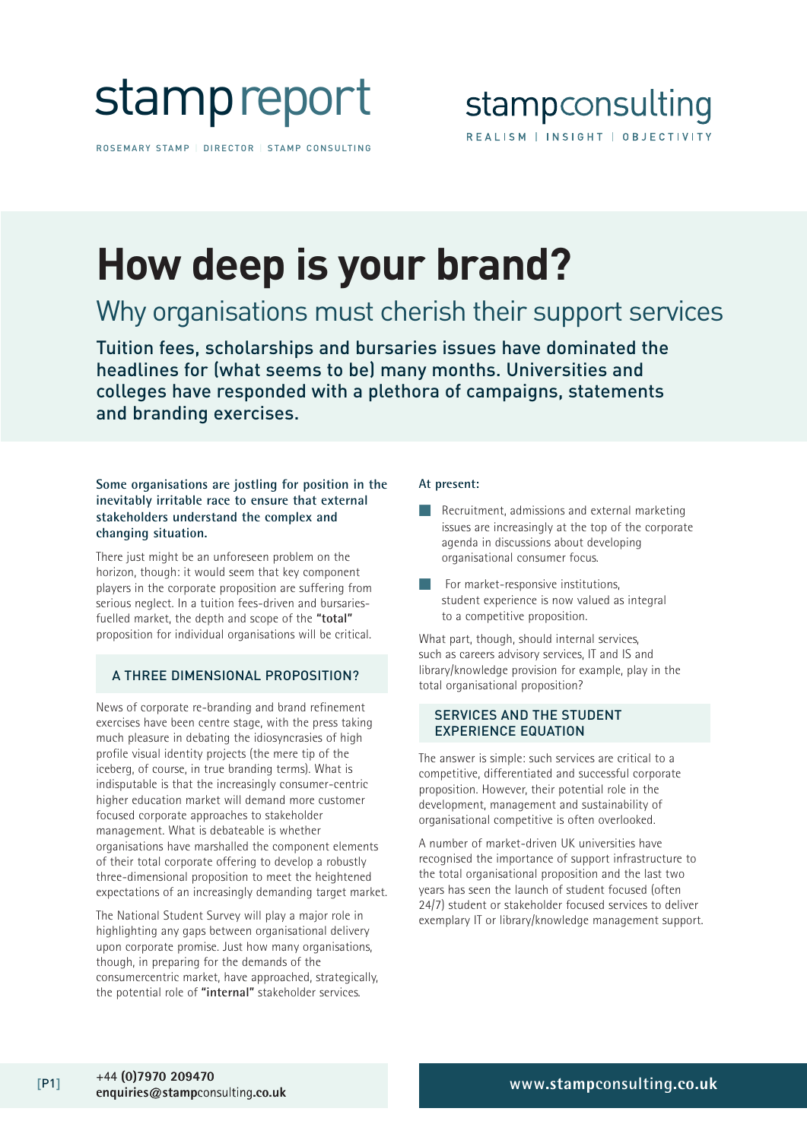

ROSEMARY STAMP | DIRECTOR | STAMP CONSULTING

# **How deep is your brand?**

### Why organisations must cherish their support services

Tuition fees, scholarships and bursaries issues have dominated the headlines for (what seems to be) many months. Universities and colleges have responded with a plethora of campaigns, statements and branding exercises.

#### **Some organisations are jostling for position in the inevitably irritable race to ensure that external stakeholders understand the complex and changing situation.**

There just might be an unforeseen problem on the horizon, though: it would seem that key component players in the corporate proposition are suffering from serious neglect. In a tuition fees-driven and bursariesfuelled market, the depth and scope of the **"total"** proposition for individual organisations will be critical.

#### A THREE DIMENSIONAL PROPOSITION?

News of corporate re-branding and brand refinement exercises have been centre stage, with the press taking much pleasure in debating the idiosyncrasies of high profile visual identity projects (the mere tip of the iceberg, of course, in true branding terms). What is indisputable is that the increasingly consumer-centric higher education market will demand more customer focused corporate approaches to stakeholder management. What is debateable is whether organisations have marshalled the component elements of their total corporate offering to develop a robustly three-dimensional proposition to meet the heightened expectations of an increasingly demanding target market.

The National Student Survey will play a major role in highlighting any gaps between organisational delivery upon corporate promise. Just how many organisations, though, in preparing for the demands of the consumercentric market, have approached, strategically, the potential role of **"internal"** stakeholder services.

#### **At present:**

- Recruitment, admissions and external marketing issues are increasingly at the top of the corporate agenda in discussions about developing organisational consumer focus.
- For market-responsive institutions, student experience is now valued as integral to a competitive proposition.

What part, though, should internal services, such as careers advisory services, IT and IS and library/knowledge provision for example, play in the total organisational proposition?

#### SERVICES AND THE STUDENT EXPERIENCE EQUATION

The answer is simple: such services are critical to a competitive, differentiated and successful corporate proposition. However, their potential role in the development, management and sustainability of organisational competitive is often overlooked.

A number of market-driven UK universities have recognised the importance of support infrastructure to the total organisational proposition and the last two years has seen the launch of student focused (often 24/7) student or stakeholder focused services to deliver exemplary IT or library/knowledge management support.